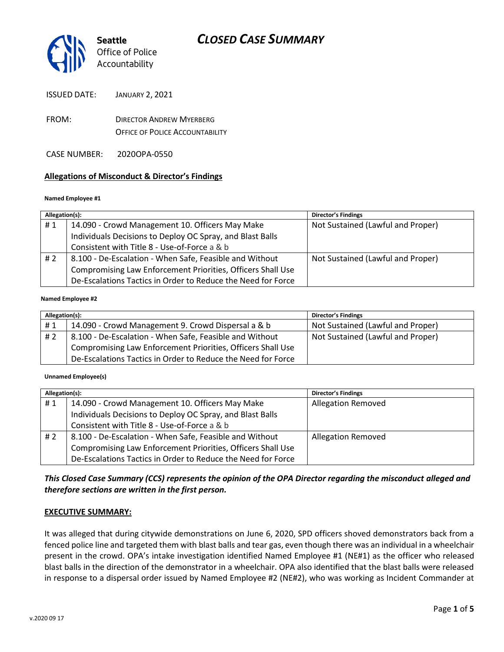

ISSUED DATE: JANUARY 2, 2021

FROM: DIRECTOR ANDREW MYERBERG OFFICE OF POLICE ACCOUNTABILITY

CASE NUMBER: 2020OPA-0550

### **Allegations of Misconduct & Director's Findings**

#### **Named Employee #1**

| Allegation(s): |                                                              | <b>Director's Findings</b>        |
|----------------|--------------------------------------------------------------|-----------------------------------|
| #1             | 14.090 - Crowd Management 10. Officers May Make              | Not Sustained (Lawful and Proper) |
|                | Individuals Decisions to Deploy OC Spray, and Blast Balls    |                                   |
|                | Consistent with Title 8 - Use-of-Force a & b                 |                                   |
| #2             | 8.100 - De-Escalation - When Safe, Feasible and Without      | Not Sustained (Lawful and Proper) |
|                | Compromising Law Enforcement Priorities, Officers Shall Use  |                                   |
|                | De-Escalations Tactics in Order to Reduce the Need for Force |                                   |
|                |                                                              |                                   |

#### **Named Employee #2**

| Allegation(s): |                                                              | <b>Director's Findings</b>        |
|----------------|--------------------------------------------------------------|-----------------------------------|
| #1             | 14.090 - Crowd Management 9. Crowd Dispersal a & b           | Not Sustained (Lawful and Proper) |
| # $2$          | 8.100 - De-Escalation - When Safe, Feasible and Without      | Not Sustained (Lawful and Proper) |
|                | Compromising Law Enforcement Priorities, Officers Shall Use  |                                   |
|                | De-Escalations Tactics in Order to Reduce the Need for Force |                                   |

**Unnamed Employee(s)**

| Allegation(s): |                                                              | <b>Director's Findings</b> |
|----------------|--------------------------------------------------------------|----------------------------|
| #1             | 14.090 - Crowd Management 10. Officers May Make              | <b>Allegation Removed</b>  |
|                | Individuals Decisions to Deploy OC Spray, and Blast Balls    |                            |
|                | Consistent with Title 8 - Use-of-Force a & b                 |                            |
| #2             | 8.100 - De-Escalation - When Safe, Feasible and Without      | <b>Allegation Removed</b>  |
|                | Compromising Law Enforcement Priorities, Officers Shall Use  |                            |
|                | De-Escalations Tactics in Order to Reduce the Need for Force |                            |

*This Closed Case Summary (CCS) represents the opinion of the OPA Director regarding the misconduct alleged and therefore sections are written in the first person.* 

### **EXECUTIVE SUMMARY:**

It was alleged that during citywide demonstrations on June 6, 2020, SPD officers shoved demonstrators back from a fenced police line and targeted them with blast balls and tear gas, even though there was an individual in a wheelchair present in the crowd. OPA's intake investigation identified Named Employee #1 (NE#1) as the officer who released blast balls in the direction of the demonstrator in a wheelchair. OPA also identified that the blast balls were released in response to a dispersal order issued by Named Employee #2 (NE#2), who was working as Incident Commander at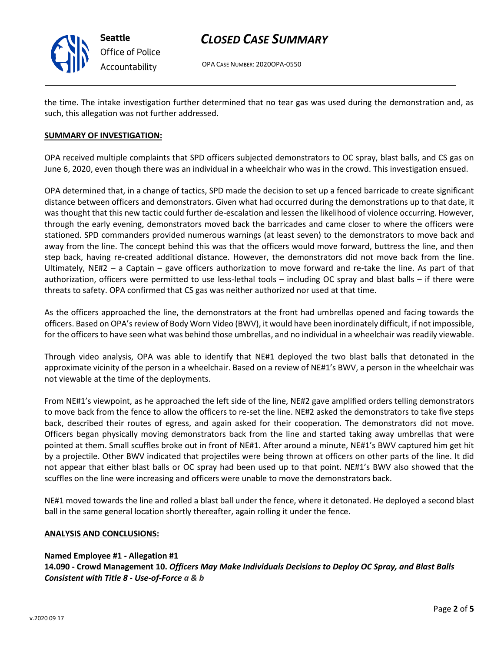

# *CLOSED CASE SUMMARY*

OPA CASE NUMBER: 2020OPA-0550

the time. The intake investigation further determined that no tear gas was used during the demonstration and, as such, this allegation was not further addressed.

### **SUMMARY OF INVESTIGATION:**

OPA received multiple complaints that SPD officers subjected demonstrators to OC spray, blast balls, and CS gas on June 6, 2020, even though there was an individual in a wheelchair who was in the crowd. This investigation ensued.

OPA determined that, in a change of tactics, SPD made the decision to set up a fenced barricade to create significant distance between officers and demonstrators. Given what had occurred during the demonstrations up to that date, it was thought that this new tactic could further de-escalation and lessen the likelihood of violence occurring. However, through the early evening, demonstrators moved back the barricades and came closer to where the officers were stationed. SPD commanders provided numerous warnings (at least seven) to the demonstrators to move back and away from the line. The concept behind this was that the officers would move forward, buttress the line, and then step back, having re-created additional distance. However, the demonstrators did not move back from the line. Ultimately, NE#2 – a Captain – gave officers authorization to move forward and re-take the line. As part of that authorization, officers were permitted to use less-lethal tools – including OC spray and blast balls – if there were threats to safety. OPA confirmed that CS gas was neither authorized nor used at that time.

As the officers approached the line, the demonstrators at the front had umbrellas opened and facing towards the officers. Based on OPA's review of Body Worn Video (BWV), it would have been inordinately difficult, if not impossible, for the officers to have seen what was behind those umbrellas, and no individual in a wheelchair was readily viewable.

Through video analysis, OPA was able to identify that NE#1 deployed the two blast balls that detonated in the approximate vicinity of the person in a wheelchair. Based on a review of NE#1's BWV, a person in the wheelchair was not viewable at the time of the deployments.

From NE#1's viewpoint, as he approached the left side of the line, NE#2 gave amplified orders telling demonstrators to move back from the fence to allow the officers to re-set the line. NE#2 asked the demonstrators to take five steps back, described their routes of egress, and again asked for their cooperation. The demonstrators did not move. Officers began physically moving demonstrators back from the line and started taking away umbrellas that were pointed at them. Small scuffles broke out in front of NE#1. After around a minute, NE#1's BWV captured him get hit by a projectile. Other BWV indicated that projectiles were being thrown at officers on other parts of the line. It did not appear that either blast balls or OC spray had been used up to that point. NE#1's BWV also showed that the scuffles on the line were increasing and officers were unable to move the demonstrators back.

NE#1 moved towards the line and rolled a blast ball under the fence, where it detonated. He deployed a second blast ball in the same general location shortly thereafter, again rolling it under the fence.

### **ANALYSIS AND CONCLUSIONS:**

### **Named Employee #1 - Allegation #1**

**14.090 - Crowd Management 10.** *Officers May Make Individuals Decisions to Deploy OC Spray, and Blast Balls Consistent with Title 8 - Use-of-Force a & b*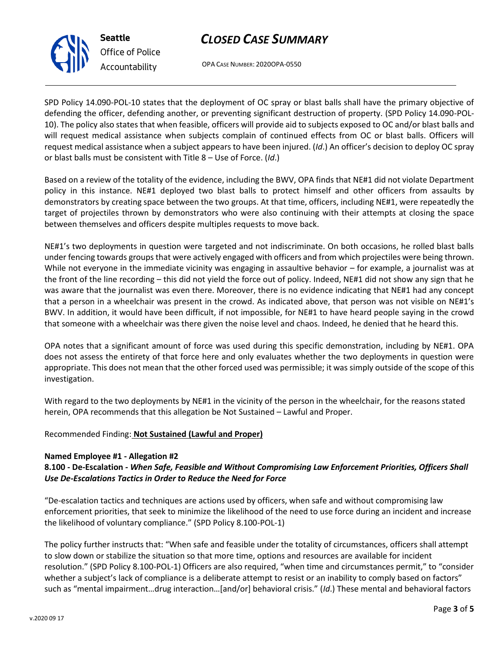# *CLOSED CASE SUMMARY*



*Office of Police Accountability*

OPA CASE NUMBER: 2020OPA-0550

SPD Policy 14.090-POL-10 states that the deployment of OC spray or blast balls shall have the primary objective of defending the officer, defending another, or preventing significant destruction of property. (SPD Policy 14.090-POL-10). The policy also states that when feasible, officers will provide aid to subjects exposed to OC and/or blast balls and will request medical assistance when subjects complain of continued effects from OC or blast balls. Officers will request medical assistance when a subject appears to have been injured. (*Id*.) An officer's decision to deploy OC spray or blast balls must be consistent with Title 8 – Use of Force. (*Id*.)

Based on a review of the totality of the evidence, including the BWV, OPA finds that NE#1 did not violate Department policy in this instance. NE#1 deployed two blast balls to protect himself and other officers from assaults by demonstrators by creating space between the two groups. At that time, officers, including NE#1, were repeatedly the target of projectiles thrown by demonstrators who were also continuing with their attempts at closing the space between themselves and officers despite multiples requests to move back.

NE#1's two deployments in question were targeted and not indiscriminate. On both occasions, he rolled blast balls under fencing towards groups that were actively engaged with officers and from which projectiles were being thrown. While not everyone in the immediate vicinity was engaging in assaultive behavior – for example, a journalist was at the front of the line recording – this did not yield the force out of policy. Indeed, NE#1 did not show any sign that he was aware that the journalist was even there. Moreover, there is no evidence indicating that NE#1 had any concept that a person in a wheelchair was present in the crowd. As indicated above, that person was not visible on NE#1's BWV. In addition, it would have been difficult, if not impossible, for NE#1 to have heard people saying in the crowd that someone with a wheelchair was there given the noise level and chaos. Indeed, he denied that he heard this.

OPA notes that a significant amount of force was used during this specific demonstration, including by NE#1. OPA does not assess the entirety of that force here and only evaluates whether the two deployments in question were appropriate. This does not mean that the other forced used was permissible; it was simply outside of the scope of this investigation.

With regard to the two deployments by NE#1 in the vicinity of the person in the wheelchair, for the reasons stated herein, OPA recommends that this allegation be Not Sustained – Lawful and Proper.

## Recommended Finding: **Not Sustained (Lawful and Proper)**

## **Named Employee #1 - Allegation #2**

## **8.100 - De-Escalation** *- When Safe, Feasible and Without Compromising Law Enforcement Priorities, Officers Shall Use De-Escalations Tactics in Order to Reduce the Need for Force*

"De-escalation tactics and techniques are actions used by officers, when safe and without compromising law enforcement priorities, that seek to minimize the likelihood of the need to use force during an incident and increase the likelihood of voluntary compliance." (SPD Policy 8.100-POL-1)

The policy further instructs that: "When safe and feasible under the totality of circumstances, officers shall attempt to slow down or stabilize the situation so that more time, options and resources are available for incident resolution." (SPD Policy 8.100-POL-1) Officers are also required, "when time and circumstances permit," to "consider whether a subject's lack of compliance is a deliberate attempt to resist or an inability to comply based on factors" such as "mental impairment…drug interaction…[and/or] behavioral crisis." (*Id*.) These mental and behavioral factors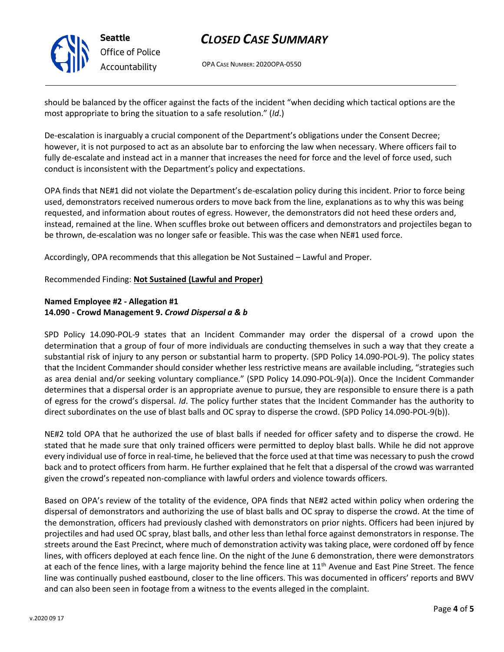

**Seattle** *Office of Police Accountability*

# *CLOSED CASE SUMMARY*

OPA CASE NUMBER: 2020OPA-0550

should be balanced by the officer against the facts of the incident "when deciding which tactical options are the most appropriate to bring the situation to a safe resolution." (*Id*.)

De-escalation is inarguably a crucial component of the Department's obligations under the Consent Decree; however, it is not purposed to act as an absolute bar to enforcing the law when necessary. Where officers fail to fully de-escalate and instead act in a manner that increases the need for force and the level of force used, such conduct is inconsistent with the Department's policy and expectations.

OPA finds that NE#1 did not violate the Department's de-escalation policy during this incident. Prior to force being used, demonstrators received numerous orders to move back from the line, explanations as to why this was being requested, and information about routes of egress. However, the demonstrators did not heed these orders and, instead, remained at the line. When scuffles broke out between officers and demonstrators and projectiles began to be thrown, de-escalation was no longer safe or feasible. This was the case when NE#1 used force.

Accordingly, OPA recommends that this allegation be Not Sustained – Lawful and Proper.

### Recommended Finding: **Not Sustained (Lawful and Proper)**

## **Named Employee #2 - Allegation #1 14.090 - Crowd Management 9.** *Crowd Dispersal a & b*

SPD Policy 14.090-POL-9 states that an Incident Commander may order the dispersal of a crowd upon the determination that a group of four of more individuals are conducting themselves in such a way that they create a substantial risk of injury to any person or substantial harm to property. (SPD Policy 14.090-POL-9). The policy states that the Incident Commander should consider whether less restrictive means are available including, "strategies such as area denial and/or seeking voluntary compliance." (SPD Policy 14.090-POL-9(a)). Once the Incident Commander determines that a dispersal order is an appropriate avenue to pursue, they are responsible to ensure there is a path of egress for the crowd's dispersal. *Id*. The policy further states that the Incident Commander has the authority to direct subordinates on the use of blast balls and OC spray to disperse the crowd. (SPD Policy 14.090-POL-9(b)).

NE#2 told OPA that he authorized the use of blast balls if needed for officer safety and to disperse the crowd. He stated that he made sure that only trained officers were permitted to deploy blast balls. While he did not approve every individual use of force in real-time, he believed that the force used at that time was necessary to push the crowd back and to protect officers from harm. He further explained that he felt that a dispersal of the crowd was warranted given the crowd's repeated non-compliance with lawful orders and violence towards officers.

Based on OPA's review of the totality of the evidence, OPA finds that NE#2 acted within policy when ordering the dispersal of demonstrators and authorizing the use of blast balls and OC spray to disperse the crowd. At the time of the demonstration, officers had previously clashed with demonstrators on prior nights. Officers had been injured by projectiles and had used OC spray, blast balls, and other less than lethal force against demonstrators in response. The streets around the East Precinct, where much of demonstration activity was taking place, were cordoned off by fence lines, with officers deployed at each fence line. On the night of the June 6 demonstration, there were demonstrators at each of the fence lines, with a large majority behind the fence line at  $11<sup>th</sup>$  Avenue and East Pine Street. The fence line was continually pushed eastbound, closer to the line officers. This was documented in officers' reports and BWV and can also been seen in footage from a witness to the events alleged in the complaint.